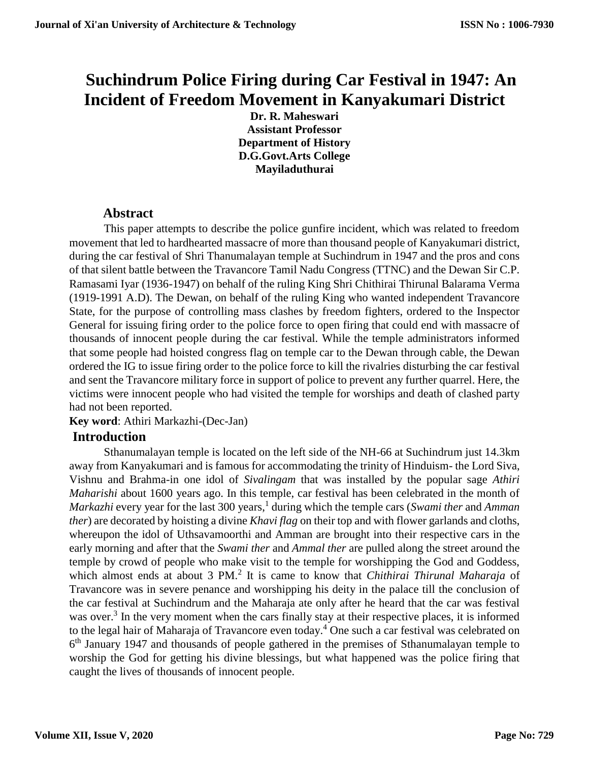# **Suchindrum Police Firing during Car Festival in 1947: An Incident of Freedom Movement in Kanyakumari District**

**Dr. R. Maheswari Assistant Professor Department of History D.G.Govt.Arts College Mayiladuthurai**

## **Abstract**

This paper attempts to describe the police gunfire incident, which was related to freedom movement that led to hardhearted massacre of more than thousand people of Kanyakumari district, during the car festival of Shri Thanumalayan temple at Suchindrum in 1947 and the pros and cons of that silent battle between the Travancore Tamil Nadu Congress (TTNC) and the Dewan Sir C.P. Ramasami Iyar (1936-1947) on behalf of the ruling King Shri Chithirai Thirunal Balarama Verma (1919-1991 A.D). The Dewan, on behalf of the ruling King who wanted independent Travancore State, for the purpose of controlling mass clashes by freedom fighters, ordered to the Inspector General for issuing firing order to the police force to open firing that could end with massacre of thousands of innocent people during the car festival. While the temple administrators informed that some people had hoisted congress flag on temple car to the Dewan through cable, the Dewan ordered the IG to issue firing order to the police force to kill the rivalries disturbing the car festival and sent the Travancore military force in support of police to prevent any further quarrel. Here, the victims were innocent people who had visited the temple for worships and death of clashed party had not been reported.

## **Key word**: Athiri Markazhi-(Dec-Jan)

# **Introduction**

Sthanumalayan temple is located on the left side of the NH-66 at Suchindrum just 14.3km away from Kanyakumari and is famous for accommodating the trinity of Hinduism- the Lord Siva, Vishnu and Brahma-in one idol of *Sivalingam* that was installed by the popular sage *Athiri Maharishi* about 1600 years ago. In this temple, car festival has been celebrated in the month of *Markazhi* every year for the last 300 years,<sup>1</sup> during which the temple cars (*Swami ther* and *Amman ther*) are decorated by hoisting a divine *Khavi flag* on their top and with flower garlands and cloths, whereupon the idol of Uthsavamoorthi and Amman are brought into their respective cars in the early morning and after that the *Swami ther* and *Ammal ther* are pulled along the street around the temple by crowd of people who make visit to the temple for worshipping the God and Goddess, which almost ends at about 3 PM.<sup>2</sup> It is came to know that *Chithirai Thirunal Maharaja* of Travancore was in severe penance and worshipping his deity in the palace till the conclusion of the car festival at Suchindrum and the Maharaja ate only after he heard that the car was festival was over.<sup>3</sup> In the very moment when the cars finally stay at their respective places, it is informed to the legal hair of Maharaja of Travancore even today.<sup>4</sup> One such a car festival was celebrated on 6<sup>th</sup> January 1947 and thousands of people gathered in the premises of Sthanumalayan temple to worship the God for getting his divine blessings, but what happened was the police firing that caught the lives of thousands of innocent people.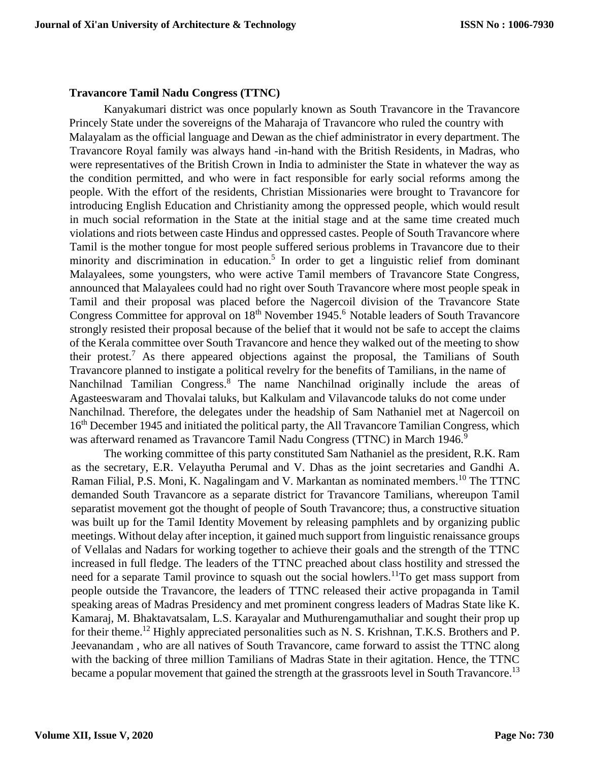#### **Travancore Tamil Nadu Congress (TTNC)**

Kanyakumari district was once popularly known as South Travancore in the Travancore Princely State under the sovereigns of the Maharaja of Travancore who ruled the country with Malayalam as the official language and Dewan as the chief administrator in every department. The Travancore Royal family was always hand -in-hand with the British Residents, in Madras, who were representatives of the British Crown in India to administer the State in whatever the way as the condition permitted, and who were in fact responsible for early social reforms among the people. With the effort of the residents, Christian Missionaries were brought to Travancore for introducing English Education and Christianity among the oppressed people, which would result in much social reformation in the State at the initial stage and at the same time created much violations and riots between caste Hindus and oppressed castes. People of South Travancore where Tamil is the mother tongue for most people suffered serious problems in Travancore due to their minority and discrimination in education.<sup>5</sup> In order to get a linguistic relief from dominant Malayalees, some youngsters, who were active Tamil members of Travancore State Congress, announced that Malayalees could had no right over South Travancore where most people speak in Tamil and their proposal was placed before the Nagercoil division of the Travancore State Congress Committee for approval on 18<sup>th</sup> November 1945.<sup>6</sup> Notable leaders of South Travancore strongly resisted their proposal because of the belief that it would not be safe to accept the claims of the Kerala committee over South Travancore and hence they walked out of the meeting to show their protest.<sup>7</sup> As there appeared objections against the proposal, the Tamilians of South Travancore planned to instigate a political revelry for the benefits of Tamilians, in the name of Nanchilnad Tamilian Congress.<sup>8</sup> The name Nanchilnad originally include the areas of Agasteeswaram and Thovalai taluks, but Kalkulam and Vilavancode taluks do not come under Nanchilnad. Therefore, the delegates under the headship of Sam Nathaniel met at Nagercoil on 16<sup>th</sup> December 1945 and initiated the political party, the All Travancore Tamilian Congress, which was afterward renamed as Travancore Tamil Nadu Congress (TTNC) in March 1946.<sup>9</sup>

The working committee of this party constituted Sam Nathaniel as the president, R.K. Ram as the secretary, E.R. Velayutha Perumal and V. Dhas as the joint secretaries and Gandhi A. Raman Filial, P.S. Moni, K. Nagalingam and V. Markantan as nominated members.<sup>10</sup> The TTNC demanded South Travancore as a separate district for Travancore Tamilians, whereupon Tamil separatist movement got the thought of people of South Travancore; thus, a constructive situation was built up for the Tamil Identity Movement by releasing pamphlets and by organizing public meetings. Without delay after inception, it gained much support from linguistic renaissance groups of Vellalas and Nadars for working together to achieve their goals and the strength of the TTNC increased in full fledge. The leaders of the TTNC preached about class hostility and stressed the need for a separate Tamil province to squash out the social howlers.<sup>11</sup>To get mass support from people outside the Travancore, the leaders of TTNC released their active propaganda in Tamil speaking areas of Madras Presidency and met prominent congress leaders of Madras State like K. Kamaraj, M. Bhaktavatsalam, L.S. Karayalar and Muthurengamuthaliar and sought their prop up for their theme.<sup>12</sup> Highly appreciated personalities such as N. S. Krishnan, T.K.S. Brothers and P. Jeevanandam , who are all natives of South Travancore, came forward to assist the TTNC along with the backing of three million Tamilians of Madras State in their agitation. Hence, the TTNC became a popular movement that gained the strength at the grassroots level in South Travancore.<sup>13</sup>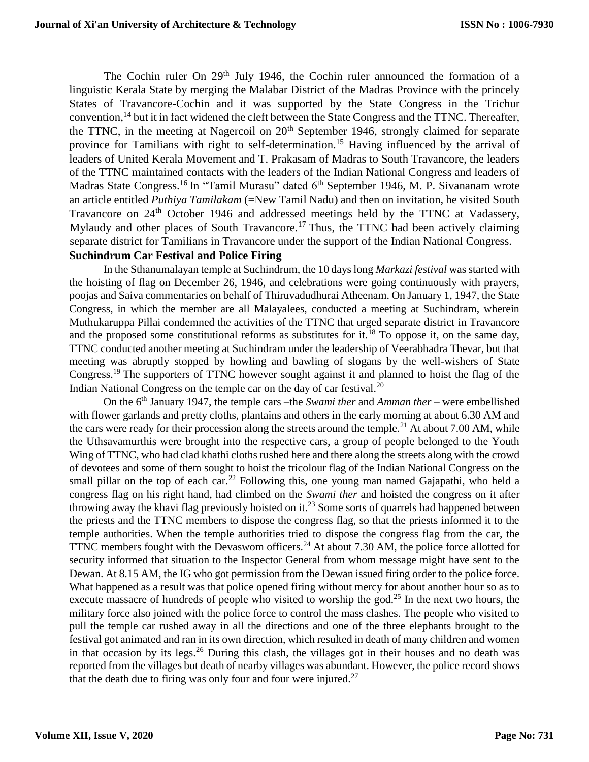The Cochin ruler On 29<sup>th</sup> July 1946, the Cochin ruler announced the formation of a linguistic Kerala State by merging the Malabar District of the Madras Province with the princely States of Travancore-Cochin and it was supported by the State Congress in the Trichur convention,<sup>14</sup> but it in fact widened the cleft between the State Congress and the TTNC. Thereafter, the TTNC, in the meeting at Nagercoil on  $20<sup>th</sup>$  September 1946, strongly claimed for separate province for Tamilians with right to self-determination.<sup>15</sup> Having influenced by the arrival of leaders of United Kerala Movement and T. Prakasam of Madras to South Travancore, the leaders of the TTNC maintained contacts with the leaders of the Indian National Congress and leaders of Madras State Congress.<sup>16</sup> In "Tamil Murasu" dated 6<sup>th</sup> September 1946, M. P. Sivananam wrote an article entitled *Puthiya Tamilakam* (=New Tamil Nadu) and then on invitation, he visited South Travancore on 24<sup>th</sup> October 1946 and addressed meetings held by the TTNC at Vadassery, Mylaudy and other places of South Travancore.<sup>17</sup> Thus, the TTNC had been actively claiming separate district for Tamilians in Travancore under the support of the Indian National Congress. **Suchindrum Car Festival and Police Firing** 

In the Sthanumalayan temple at Suchindrum, the 10 days long *Markazi festival* was started with the hoisting of flag on December 26, 1946, and celebrations were going continuously with prayers, poojas and Saiva commentaries on behalf of Thiruvadudhurai Atheenam. On January 1, 1947, the State Congress, in which the member are all Malayalees, conducted a meeting at Suchindram, wherein Muthukaruppa Pillai condemned the activities of the TTNC that urged separate district in Travancore and the proposed some constitutional reforms as substitutes for it.<sup>18</sup> To oppose it, on the same day, TTNC conducted another meeting at Suchindram under the leadership of Veerabhadra Thevar, but that meeting was abruptly stopped by howling and bawling of slogans by the well-wishers of State Congress.<sup>19</sup> The supporters of TTNC however sought against it and planned to hoist the flag of the Indian National Congress on the temple car on the day of car festival.<sup>20</sup>

On the 6<sup>th</sup> January 1947, the temple cars –the *Swami ther* and *Amman ther* – were embellished with flower garlands and pretty cloths, plantains and others in the early morning at about 6.30 AM and the cars were ready for their procession along the streets around the temple.<sup>21</sup> At about 7.00 AM, while the Uthsavamurthis were brought into the respective cars, a group of people belonged to the Youth Wing of TTNC, who had clad khathi cloths rushed here and there along the streets along with the crowd of devotees and some of them sought to hoist the tricolour flag of the Indian National Congress on the small pillar on the top of each car.<sup>22</sup> Following this, one young man named Gajapathi, who held a congress flag on his right hand, had climbed on the *Swami ther* and hoisted the congress on it after throwing away the khavi flag previously hoisted on it.<sup>23</sup> Some sorts of quarrels had happened between the priests and the TTNC members to dispose the congress flag, so that the priests informed it to the temple authorities. When the temple authorities tried to dispose the congress flag from the car, the TTNC members fought with the Devaswom officers.<sup>24</sup> At about 7.30 AM, the police force allotted for security informed that situation to the Inspector General from whom message might have sent to the Dewan. At 8.15 AM, the IG who got permission from the Dewan issued firing order to the police force. What happened as a result was that police opened firing without mercy for about another hour so as to execute massacre of hundreds of people who visited to worship the god.<sup>25</sup> In the next two hours, the military force also joined with the police force to control the mass clashes. The people who visited to pull the temple car rushed away in all the directions and one of the three elephants brought to the festival got animated and ran in its own direction, which resulted in death of many children and women in that occasion by its legs.<sup>26</sup> During this clash, the villages got in their houses and no death was reported from the villages but death of nearby villages was abundant. However, the police record shows that the death due to firing was only four and four were injured. $27$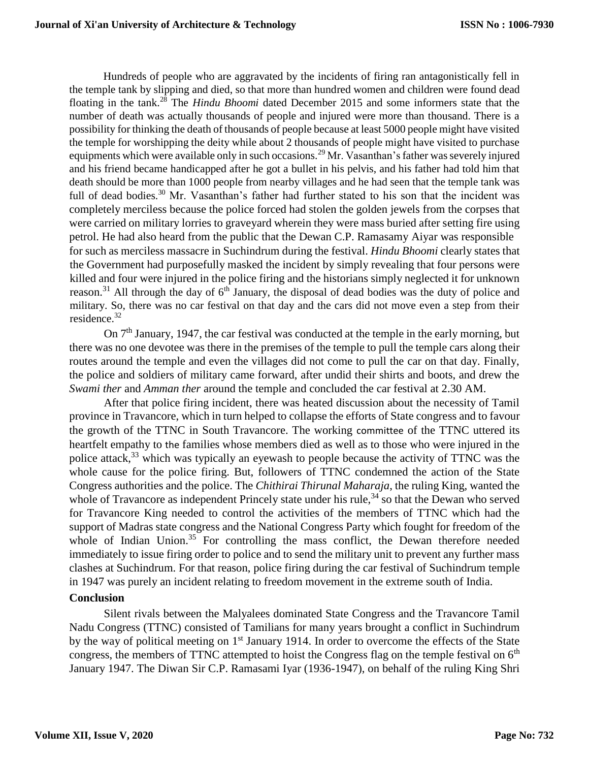Hundreds of people who are aggravated by the incidents of firing ran antagonistically fell in the temple tank by slipping and died, so that more than hundred women and children were found dead floating in the tank.<sup>28</sup> The *Hindu Bhoomi* dated December 2015 and some informers state that the number of death was actually thousands of people and injured were more than thousand. There is a possibility for thinking the death of thousands of people because at least 5000 people might have visited the temple for worshipping the deity while about 2 thousands of people might have visited to purchase equipments which were available only in such occasions.<sup>29</sup> Mr. Vasanthan's father was severely injured and his friend became handicapped after he got a bullet in his pelvis, and his father had told him that death should be more than 1000 people from nearby villages and he had seen that the temple tank was full of dead bodies.<sup>30</sup> Mr. Vasanthan's father had further stated to his son that the incident was completely merciless because the police forced had stolen the golden jewels from the corpses that were carried on military lorries to graveyard wherein they were mass buried after setting fire using petrol. He had also heard from the public that the Dewan C.P. Ramasamy Aiyar was responsible for such as merciless massacre in Suchindrum during the festival. *Hindu Bhoomi* clearly states that the Government had purposefully masked the incident by simply revealing that four persons were killed and four were injured in the police firing and the historians simply neglected it for unknown reason.<sup>31</sup> All through the day of  $6<sup>th</sup>$  January, the disposal of dead bodies was the duty of police and military. So, there was no car festival on that day and the cars did not move even a step from their residence.<sup>32</sup>

On  $7<sup>th</sup>$  January, 1947, the car festival was conducted at the temple in the early morning, but there was no one devotee was there in the premises of the temple to pull the temple cars along their routes around the temple and even the villages did not come to pull the car on that day. Finally, the police and soldiers of military came forward, after undid their shirts and boots, and drew the *Swami ther* and *Amman ther* around the temple and concluded the car festival at 2.30 AM.

After that police firing incident, there was heated discussion about the necessity of Tamil province in Travancore, which in turn helped to collapse the efforts of State congress and to favour the growth of the TTNC in South Travancore. The working committee of the TTNC uttered its heartfelt empathy to the families whose members died as well as to those who were injured in the police attack,<sup>33</sup> which was typically an eyewash to people because the activity of TTNC was the whole cause for the police firing. But, followers of TTNC condemned the action of the State Congress authorities and the police. The *Chithirai Thirunal Maharaja*, the ruling King, wanted the whole of Travancore as independent Princely state under his rule,  $34$  so that the Dewan who served for Travancore King needed to control the activities of the members of TTNC which had the support of Madras state congress and the National Congress Party which fought for freedom of the whole of Indian Union.<sup>35</sup> For controlling the mass conflict, the Dewan therefore needed immediately to issue firing order to police and to send the military unit to prevent any further mass clashes at Suchindrum. For that reason, police firing during the car festival of Suchindrum temple in 1947 was purely an incident relating to freedom movement in the extreme south of India.

#### **Conclusion**

Silent rivals between the Malyalees dominated State Congress and the Travancore Tamil Nadu Congress (TTNC) consisted of Tamilians for many years brought a conflict in Suchindrum by the way of political meeting on 1<sup>st</sup> January 1914. In order to overcome the effects of the State congress, the members of TTNC attempted to hoist the Congress flag on the temple festival on  $6<sup>th</sup>$ January 1947. The Diwan Sir C.P. Ramasami Iyar (1936-1947), on behalf of the ruling King Shri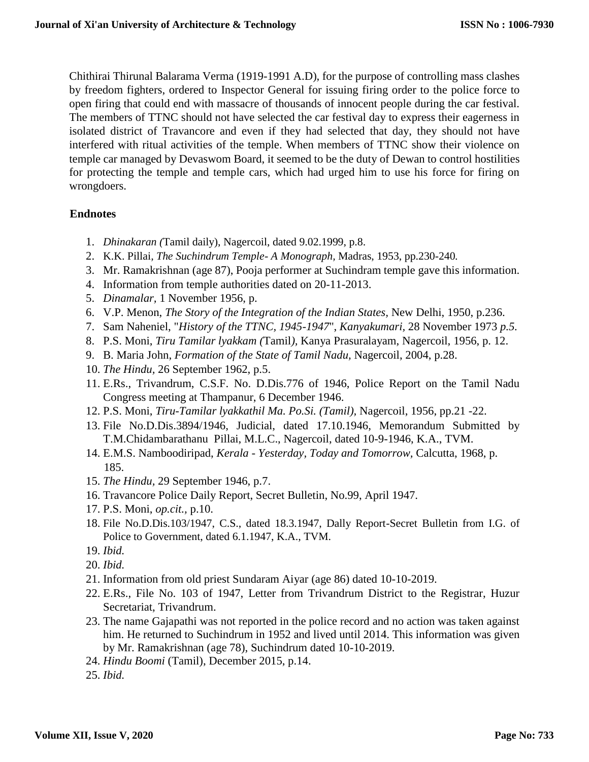Chithirai Thirunal Balarama Verma (1919-1991 A.D), for the purpose of controlling mass clashes by freedom fighters, ordered to Inspector General for issuing firing order to the police force to open firing that could end with massacre of thousands of innocent people during the car festival. The members of TTNC should not have selected the car festival day to express their eagerness in isolated district of Travancore and even if they had selected that day, they should not have interfered with ritual activities of the temple. When members of TTNC show their violence on temple car managed by Devaswom Board, it seemed to be the duty of Dewan to control hostilities for protecting the temple and temple cars, which had urged him to use his force for firing on wrongdoers.

### **Endnotes**

- 1. *Dhinakaran (*Tamil daily), Nagercoil, dated 9.02.1999, p.8.
- 2. K.K. Pillai*, The Suchindrum Temple- A Monograph,* Madras, 1953, pp.230-240*.*
- 3. Mr. Ramakrishnan (age 87), Pooja performer at Suchindram temple gave this information.
- 4. Information from temple authorities dated on 20-11-2013.
- 5. *Dinamalar,* 1 November 1956, p.
- 6. V.P. Menon, *The Story of the Integration of the Indian States,* New Delhi, 1950, p.236.
- 7. Sam Naheniel, "*History of the TTNC, 1945-1947*", *Kanyakumari,* 28 November 1973 *p.5.*
- 8. P.S. Moni, *Tiru Tamilar lyakkam (*Tamil*),* Kanya Prasuralayam, Nagercoil, 1956, p. 12.
- 9. B. Maria John, *Formation of the State of Tamil Nadu,* Nagercoil, 2004, p.28.
- 10. *The Hindu,* 26 September 1962, p.5.
- 11. E.Rs., Trivandrum, C.S.F. No. D.Dis.776 of 1946, Police Report on the Tamil Nadu Congress meeting at Thampanur, 6 December 1946.
- 12. P.S. Moni, *Tiru-Tamilar lyakkathil Ma. Po.Si. (Tamil),* Nagercoil, 1956, pp.21 -22.
- 13. File No.D.Dis.3894/1946, Judicial, dated 17.10.1946, Memorandum Submitted by T.M.Chidambarathanu Pillai, M.L.C., Nagercoil, dated 10-9-1946, K.A., TVM.
- 14. E.M.S. Namboodiripad, *Kerala - Yesterday, Today and Tomorrow,* Calcutta, 1968, p. 185.
- 15. *The Hindu,* 29 September 1946, p.7.
- 16. Travancore Police Daily Report, Secret Bulletin, No.99, April 1947.
- 17. P.S. Moni, *op.cit.,* p.10.
- 18. File No.D.Dis.103/1947, C.S., dated 18.3.1947, Dally Report-Secret Bulletin from I.G. of Police to Government, dated 6.1.1947, K.A., TVM.
- 19. *Ibid.*
- 20. *Ibid.*
- 21. Information from old priest Sundaram Aiyar (age 86) dated 10-10-2019.
- 22. E.Rs., File No. 103 of 1947, Letter from Trivandrum District to the Registrar, Huzur Secretariat, Trivandrum.
- 23. The name Gajapathi was not reported in the police record and no action was taken against him. He returned to Suchindrum in 1952 and lived until 2014. This information was given by Mr. Ramakrishnan (age 78), Suchindrum dated 10-10-2019.
- 24. *Hindu Boomi* (Tamil), December 2015, p.14.
- 25. *Ibid.*